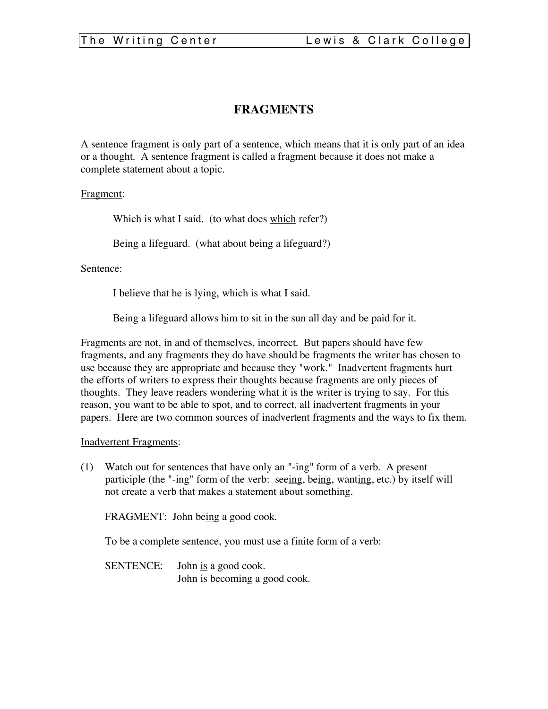# **FRAGMENTS**

A sentence fragment is only part of a sentence, which means that it is only part of an idea or a thought. A sentence fragment is called a fragment because it does not make a complete statement about a topic.

## Fragment:

Which is what I said. (to what does which refer?)

Being a lifeguard. (what about being a lifeguard?)

#### Sentence:

I believe that he is lying, which is what I said.

Being a lifeguard allows him to sit in the sun all day and be paid for it.

Fragments are not, in and of themselves, incorrect. But papers should have few fragments, and any fragments they do have should be fragments the writer has chosen to use because they are appropriate and because they "work." Inadvertent fragments hurt the efforts of writers to express their thoughts because fragments are only pieces of thoughts. They leave readers wondering what it is the writer is trying to say. For this reason, you want to be able to spot, and to correct, all inadvertent fragments in your papers. Here are two common sources of inadvertent fragments and the ways to fix them.

#### Inadvertent Fragments:

(1) Watch out for sentences that have only an "-ing" form of a verb. A present participle (the "-ing" form of the verb: seeing, being, wanting, etc.) by itself will not create a verb that makes a statement about something.

FRAGMENT: John being a good cook.

To be a complete sentence, you must use a finite form of a verb:

SENTENCE: John <u>is</u> a good cook. John is becoming a good cook.